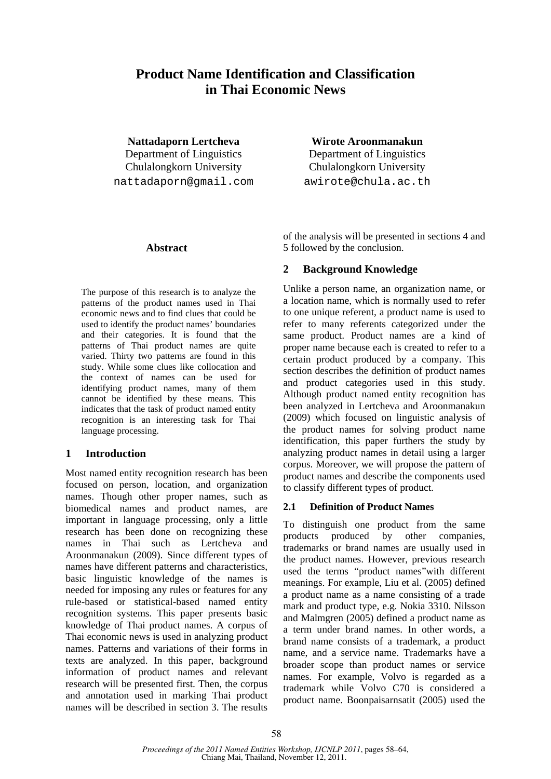# **Product Name Identification and Classification in Thai Economic News**

**Nattadaporn Lertcheva** 

Department of Linguistics Chulalongkorn University nattadaporn@gmail.com

### **Wirote Aroonmanakun**

Department of Linguistics Chulalongkorn University awirote@chula.ac.th

#### **Abstract**

The purpose of this research is to analyze the patterns of the product names used in Thai economic news and to find clues that could be used to identify the product names' boundaries and their categories. It is found that the patterns of Thai product names are quite varied. Thirty two patterns are found in this study. While some clues like collocation and the context of names can be used for identifying product names, many of them cannot be identified by these means. This indicates that the task of product named entity recognition is an interesting task for Thai language processing.

## **1 Introduction**

Most named entity recognition research has been focused on person, location, and organization names. Though other proper names, such as biomedical names and product names, are important in language processing, only a little research has been done on recognizing these names in Thai such as Lertcheva and Aroonmanakun (2009). Since different types of names have different patterns and characteristics, basic linguistic knowledge of the names is needed for imposing any rules or features for any rule-based or statistical-based named entity recognition systems. This paper presents basic knowledge of Thai product names. A corpus of Thai economic news is used in analyzing product names. Patterns and variations of their forms in texts are analyzed. In this paper, background information of product names and relevant research will be presented first. Then, the corpus and annotation used in marking Thai product names will be described in section 3. The results

of the analysis will be presented in sections 4 and 5 followed by the conclusion.

## **2 Background Knowledge**

Unlike a person name, an organization name, or a location name, which is normally used to refer to one unique referent, a product name is used to refer to many referents categorized under the same product. Product names are a kind of proper name because each is created to refer to a certain product produced by a company. This section describes the definition of product names and product categories used in this study. Although product named entity recognition has been analyzed in Lertcheva and Aroonmanakun (2009) which focused on linguistic analysis of the product names for solving product name identification, this paper furthers the study by analyzing product names in detail using a larger corpus. Moreover, we will propose the pattern of product names and describe the components used to classify different types of product.

### **2.1 Definition of Product Names**

To distinguish one product from the same products produced by other companies, trademarks or brand names are usually used in the product names. However, previous research used the terms "product names"with different meanings. For example, Liu et al. (2005) defined a product name as a name consisting of a trade mark and product type, e.g. Nokia 3310. Nilsson and Malmgren (2005) defined a product name as a term under brand names. In other words, a brand name consists of a trademark, a product name, and a service name. Trademarks have a broader scope than product names or service names. For example, Volvo is regarded as a trademark while Volvo C70 is considered a product name. Boonpaisarnsatit (2005) used the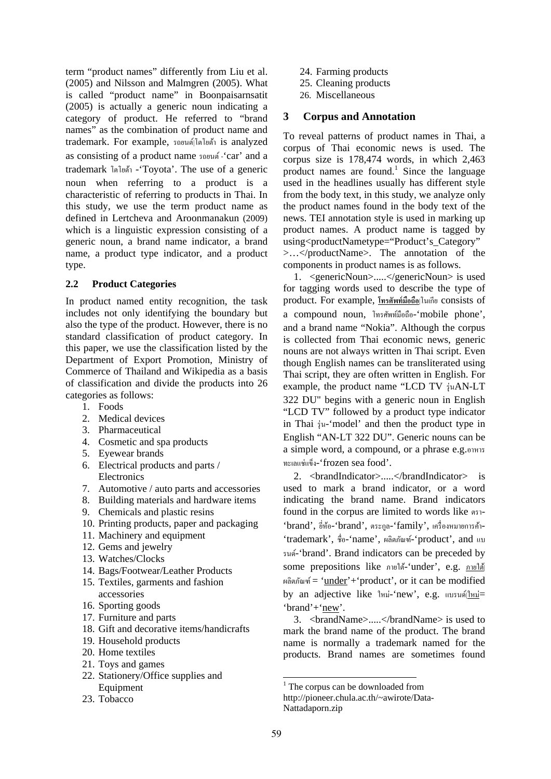term "product names" differently from Liu et al. (2005) and Nilsson and Malmgren (2005). What is called "product name" in Boonpaisarnsatit (2005) is actually a generic noun indicating a category of product. He referred to "brand names" as the combination of product name and trademark. For example, รถยนต|์โตโยตา้ is analyzed as consisting of a product name รถยนต -์ 'car' and a trademark โตโยตา้ -'Toyota'. The use of a generic noun when referring to a product is a characteristic of referring to products in Thai. In this study, we use the term product name as defined in Lertcheva and Aroonmanakun (2009) which is a linguistic expression consisting of a generic noun, a brand name indicator, a brand name, a product type indicator, and a product type.

### **2.2 Product Categories**

In product named entity recognition, the task includes not only identifying the boundary but also the type of the product. However, there is no standard classification of product category. In this paper, we use the classification listed by the Department of Export Promotion, Ministry of Commerce of Thailand and Wikipedia as a basis of classification and divide the products into 26 categories as follows:

- 1. Foods
- 2. Medical devices
- 3. Pharmaceutical
- 4. Cosmetic and spa products
- 5. Eyewear brands
- 6. Electrical products and parts / **Electronics**
- 7. Automotive / auto parts and accessories
- 8. Building materials and hardware items
- 9. Chemicals and plastic resins
- 10. Printing products, paper and packaging
- 11. Machinery and equipment
- 12. Gems and jewelry
- 13. Watches/Clocks
- 14. Bags/Footwear/Leather Products
- 15. Textiles, garments and fashion accessories
- 16. Sporting goods
- 17. Furniture and parts
- 18. Gift and decorative items/handicrafts
- 19. Household products
- 20. Home textiles
- 21. Toys and games
- 22. Stationery/Office supplies and Equipment
- 23. Tobacco
- 24. Farming products
- 25. Cleaning products
- 26. Miscellaneous

### **3 Corpus and Annotation**

To reveal patterns of product names in Thai, a corpus of Thai economic news is used. The corpus size is 178,474 words, in which 2,463 product names are found.<sup>1</sup> Since the language used in the headlines usually has different style from the body text, in this study, we analyze only the product names found in the body text of the news. TEI annotation style is used in marking up product names. A product name is tagged by using<productNametype="Product's Category" >…</productName>. The annotation of the components in product names is as follows.

1. <genericNoun>.....</genericNoun> is used for tagging words used to describe the type of product. For example, **โทรศัพท์มือถือ**|โนเกีย consists of a compound noun, โทรศัพท์มือถือ-'mobile phone', and a brand name "Nokia". Although the corpus is collected from Thai economic news, generic nouns are not always written in Thai script. Even though English names can be transliterated using Thai script, they are often written in English. For example, the product name "LCD TV  $\dot{\text{v}}$ uAN-LT 322 DU" begins with a generic noun in English "LCD TV" followed by a product type indicator in Thai รุ่น-'model' and then the product type in English "AN-LT 322 DU". Generic nouns can be a simple word, a compound, or a phrase e.g.อาหาร ทะเลแช่แขง็-'frozen sea food'.

2. <brandIndicator>.....</brandIndicator> is used to mark a brand indicator, or a word indicating the brand name. Brand indicators found in the corpus are limited to words like ตรา- 'brand', ยหี่ อ้-'brand', ตระกลู -'family', เครื่องหมายการคา้- 'trademark', ชื่อ-'name', ผลิตภัณฑ์-'product', and แบ รนด-'brand'. Brand indicators can be preceded by ์ some prepositions like ภายใต้-'under', e.g. <u>ภายใต้</u> ผลิตภัณฑ์ = ' $under'$ +'product', or it can be modified by an adjective like ใหม่-'new', e.g. แบรนด|์ใหม่= 'brand'+'new'.

3. <brandName>.....</brandName> is used to mark the brand name of the product. The brand name is normally a trademark named for the products. Brand names are sometimes found

<sup>-</sup><sup>1</sup> The corpus can be downloaded from

http://pioneer.chula.ac.th/~awirote/Data-Nattadaporn.zip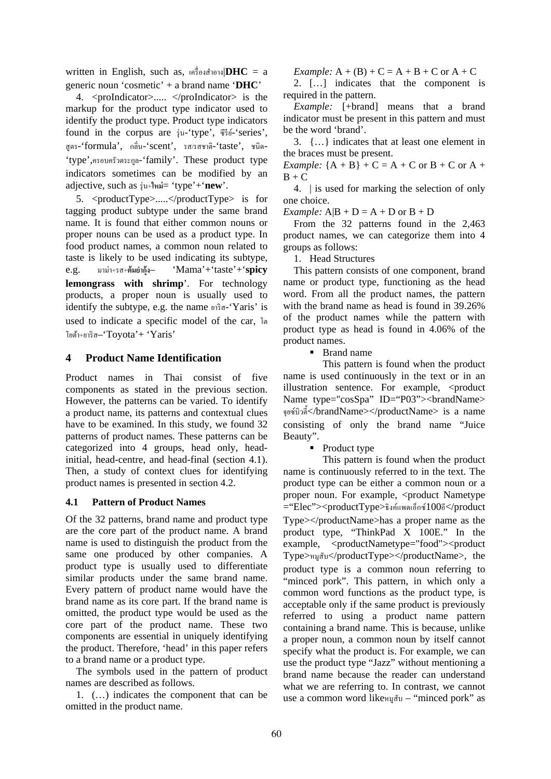written in English, such as,  $\left\langle n \right\rangle^2 = a$ generic noun 'cosmetic' + a brand name '**DHC**'

4. <proIndicator>..... </proIndicator> is the markup for the product type indicator used to identify the product type. Product type indicators found in the corpus are  $\frac{1}{3}u$ -'type',  $\frac{2}{33}u$ -'series', สูตร-'formula', กลิ่ น-'scent', รส/รสชาติ-'taste', ชนิด- 'type',ครอบครัวตระกลู -'family'. These product type indicators sometimes can be modified by an adjective, such as รุ่น+**ใหม่**= 'type'+'**new**'.

5. <productType>.....</productType> is for tagging product subtype under the same brand name. It is found that either common nouns or proper nouns can be used as a product type. In food product names, a common noun related to taste is likely to be used indicating its subtype, e.g. มาม่า+รส+**ต้มยากํ ้งุ** – 'Mama'+'taste'+'**spicy lemongrass with shrimp**'. For technology products, a proper noun is usually used to identify the subtype, e.g. the name ยาริส-'Yaris' is used to indicate a specific model of the car, โต โยตา้+ยาริส–'Toyota'+ 'Yaris'

#### **4 Product Name Identification**

Product names in Thai consist of five components as stated in the previous section. However, the patterns can be varied. To identify a product name, its patterns and contextual clues have to be examined. In this study, we found 32 patterns of product names. These patterns can be categorized into 4 groups, head only, headinitial, head-centre, and head-final (section 4.1). Then, a study of context clues for identifying product names is presented in section 4.2.

#### **4.1 Pattern of Product Names**

Of the 32 patterns, brand name and product type are the core part of the product name. A brand name is used to distinguish the product from the same one produced by other companies. A product type is usually used to differentiate similar products under the same brand name. Every pattern of product name would have the brand name as its core part. If the brand name is omitted, the product type would be used as the core part of the product name. These two components are essential in uniquely identifying the product. Therefore, 'head' in this paper refers to a brand name or a product type.

The symbols used in the pattern of product names are described as follows.

1. (…) indicates the component that can be omitted in the product name.

*Example:*  $A + (B) + C = A + B + C$  or  $A + C$ 

2. […] indicates that the component is required in the pattern.

*Example:* [+brand] means that a brand indicator must be present in this pattern and must be the word 'brand'.

3. {…} indicates that at least one element in the braces must be present.

*Example:*  ${A + B} + C = A + C$  or  $B + C$  or  $A + C$  $B + C$ 

4. | is used for marking the selection of only one choice.

*Example:*  $A|B + D = A + D$  or  $B + D$ 

From the 32 patterns found in the 2,463 product names, we can categorize them into 4 groups as follows:

1. Head Structures

This pattern consists of one component, brand name or product type, functioning as the head word. From all the product names, the pattern with the brand name as head is found in 39.26% of the product names while the pattern with product type as head is found in 4.06% of the product names.

■ Brand name

This pattern is found when the product name is used continuously in the text or in an illustration sentence. For example, <product Name type="cosSpa" ID="P03"><br/>>brandName> จุยซ์บิวต้ี</brandName></productName> is a name consisting of only the brand name "Juice Beauty".

• Product type

This pattern is found when the product name is continuously referred to in the text. The product type can be either a common noun or a proper noun. For example, <product Nametype ="Elec"><productType>ธิงค์แพดเอ็กซ์100อี</product Type></productName>has a proper name as the product type, "ThinkPad X 100E." In the example, <productNametype="food"><product Type>หมูสับ</productType></productName>, the product type is a common noun referring to "minced pork". This pattern, in which only a common word functions as the product type, is acceptable only if the same product is previously referred to using a product name pattern containing a brand name. This is because, unlike a proper noun, a common noun by itself cannot specify what the product is. For example, we can use the product type "Jazz" without mentioning a brand name because the reader can understand what we are referring to. In contrast, we cannot use a common word likeหมูสับ – "minced pork" as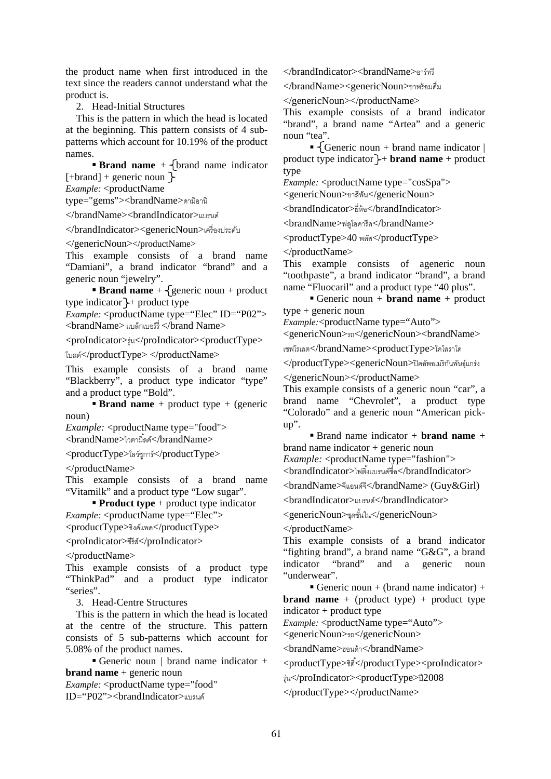the product name when first introduced in the text since the readers cannot understand what the product is.

2. Head-Initial Structures

This is the pattern in which the head is located at the beginning. This pattern consists of 4 subpatterns which account for 10.19% of the product names.

**Brand name**  $+$   $\{ \text{brand name indicator}$  $[+brand] + generic noun$ 

*Example:* <productName

type="gems"><brandName>ดามิอานิ

</brandName><brandIndicator>แบรนด์

</brandIndicator><genericNoun>เครื่องประดบั

</genericNoun></productName>

This example consists of a brand name "Damiani", a brand indicator "brand" and a generic noun "jewelry".

**Brand name** +  $\{$  generic noun + product type indicator  $\rightarrow$  product type

*Example:* <productName type="Elec" ID="P02">  $<$ brandName> แบล็กเบอร์ $\frac{1}{2}$  </brand Name>

<proIndicator>รุ่น</proIndicator><productType>

โบลด์</productType> </productName>

This example consists of a brand name "Blackberry", a product type indicator "type" and a product type "Bold".

**Brand name** + product type + (generic noun)

*Example:* <productName type="food">  $\langle$ brandName>ไวตามิ้ลค์ $\langle$ /brandName>

 $<$ productType>โลว์ชุการ์ $<$ /productType>

</productName>

This example consists of a brand name "Vitamilk" and a product type "Low sugar".

**Product type** + product type indicator *Example:* <productName type="Elec">

<productType>ธิงค์แพด</productType>

<proIndicator>ซีรีส์</proIndicator>

</productName>

This example consists of a product type "ThinkPad" and a product type indicator "series".

3. Head-Centre Structures

This is the pattern in which the head is located at the centre of the structure. This pattern consists of 5 sub-patterns which account for 5.08% of the product names.

Generic noun | brand name indicator + **brand name** + generic noun

*Example:* <productName type="food" ID="P02"><brandIndicator>แบรนด์

</brandIndicator><brandName>อาร์ทรี

</brandName><genericNoun>ชาพร้อมดื่ม

</genericNoun></productName>

This example consists of a brand indicator "brand", a brand name "Artea" and a generic noun "tea".

Generic noun + brand name indicator  $\vert$ product type indicator  $\rightarrow$  **brand name** + product type

*Example:* <productName type="cosSpa">

<genericNoun>ยาสีฟัน</genericNoun>

<brandIndicator>ยี่ห้อ</brandIndicator>

 $<$ brandName>ฟลูโอคารีล</brandName>

<productType>40 พลสั</productType>

</productName>

This example consists of ageneric noun "toothpaste", a brand indicator "brand", a brand name "Fluocaril" and a product type "40 plus".

 Generic noun + **brand name** + product type + generic noun

*Example:*<productName type="Auto">

<genericNoun>รถ</genericNoun><brandName>

เชฟโรเลต</brandName><productType>โคโลราโด

 $\langle$ productType><genericNoun>ปิคอัพอเมริกันพันธ์แกร่ง

</genericNoun></productName>

This example consists of a generic noun "car", a brand name "Chevrolet", a product type "Colorado" and a generic noun "American pickup".

 Brand name indicator + **brand name** + brand name indicator + generic noun

*Example:* <productName type="fashion">

<brandIndicator>ไฟติงแบรนด ้ ์ชื่อ</brandIndicator>

<brandName>จีแอนด์จี</brandName> (Guy&Girl)

<brandIndicator>แบรนด์</brandIndicator>

<genericNoun>ชุดชั้นใน</genericNoun>

</productName>

This example consists of a brand indicator "fighting brand", a brand name "G&G", a brand indicator "brand" and a generic noun "underwear".

Generic noun + (brand name indicator) + **brand name** + (product type) + product type indicator + product type

*Example:* <productName type="Auto">

<genericNoun>รถ</genericNoun>

<brandName>ฮอนด้า</brandName>

<productType>ซิตี</productType><proIndicator> ้

รุ่น</proIndicator><productType>ปี2008

</productType></productName>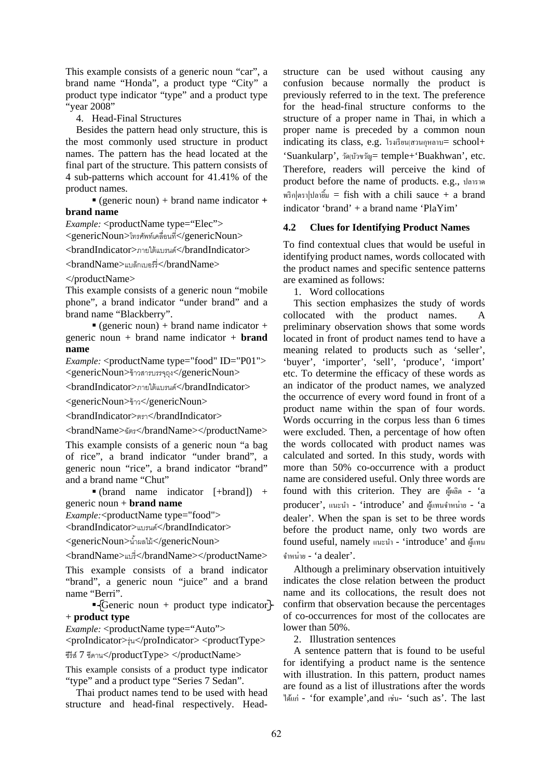This example consists of a generic noun "car", a brand name "Honda", a product type "City" a product type indicator "type" and a product type "year 2008"

4. Head-Final Structures

Besides the pattern head only structure, this is the most commonly used structure in product names. The pattern has the head located at the final part of the structure. This pattern consists of 4 sub-patterns which account for 41.41% of the product names.

 (generic noun) + brand name indicator **+ brand name**

*Example:* <productName type="Elec">

<genericNoun>โทรศพทั ์เคลื่อนที่</genericNoun>

<brandIndicator>ภายใต้แบรนด์</brandIndicator>

<brandName>แบล็กเบอร์รี่</brandName>

</productName>

This example consists of a generic noun "mobile phone", a brand indicator "under brand" and a brand name "Blackberry".

 $\bullet$  (generic noun) + brand name indicator + generic noun + brand name indicator + **brand name**

*Example:* <productName type="food" ID="P01"> <genericNoun>ข้าวสารบรรจถุ งุ </genericNoun>

<brandIndicator>ภายใต้แบรนด์</brandIndicator>

<genericNoun>ข้าว</genericNoun>

<brandIndicator>ตรา</brandIndicator>

 $<$ brandName>ฉัตร</brandName></productName>

This example consists of a generic noun "a bag of rice", a brand indicator "under brand", a generic noun "rice", a brand indicator "brand" and a brand name "Chut"

 $\bullet$  (brand name indicator [+brand]) + generic noun + **brand name**

*Example:*<productName type="food">

<brandIndicator>แบรนด์</brandIndicator>

<genericNoun>นําผลไม ้ ้</genericNoun>

<brandName>แบรี่</brandName></productName>

This example consists of a brand indicator "brand", a generic noun "juice" and a brand name "Berri".

Generic noun + product type indicator $\}$ + **product type**

*Example:* <productName type="Auto">

<proIndicator>รุ่น</proIndicator> <productType>

ซีรีส์ 7 ซีดาน</productType> </productName>

This example consists of a product type indicator "type" and a product type "Series 7 Sedan".

Thai product names tend to be used with head structure and head-final respectively. Headstructure can be used without causing any confusion because normally the product is previously referred to in the text. The preference for the head-final structure conforms to the structure of a proper name in Thai, in which a proper name is preceded by a common noun indicating its class, e.g. โรงเรียน $\alpha$ านกุหลาบ= school+ 'Suankularp', วัดบ้วงวัณ = temple+'Buakhwan', etc. Therefore, readers will perceive the kind of product before the name of products. e.g., ปลาราด  $w\hat{s}$ ก $|\varphi\hat{s}|\hat{w}$  = fish with a chili sauce + a brand indicator 'brand' + a brand name 'PlaYim'

#### **4.2 Clues for Identifying Product Names**

To find contextual clues that would be useful in identifying product names, words collocated with the product names and specific sentence patterns are examined as follows:

1. Word collocations

This section emphasizes the study of words collocated with the product names. A preliminary observation shows that some words located in front of product names tend to have a meaning related to products such as 'seller', 'buyer', 'importer', 'sell', 'produce', 'import' etc. To determine the efficacy of these words as an indicator of the product names, we analyzed the occurrence of every word found in front of a product name within the span of four words. Words occurring in the corpus less than 6 times were excluded. Then, a percentage of how often the words collocated with product names was calculated and sorted. In this study, words with more than 50% co-occurrence with a product name are considered useful. Only three words are found with this criterion. They are ผู้ผลิต - 'a producer', แนะนำ - 'introduce' and ผู้แทนจำหน่าย - 'a dealer'. When the span is set to be three words before the product name, only two words are found useful, namely แนะนำ - 'introduce' and ผู้แทน จำหน่าย - 'a dealer'.

Although a preliminary observation intuitively indicates the close relation between the product name and its collocations, the result does not confirm that observation because the percentages of co-occurrences for most of the collocates are lower than 50%.

2. Illustration sentences

A sentence pattern that is found to be useful for identifying a product name is the sentence with illustration. In this pattern, product names are found as a list of illustrations after the words ไดแก้ ่ - 'for example',and เช่น- 'such as'. The last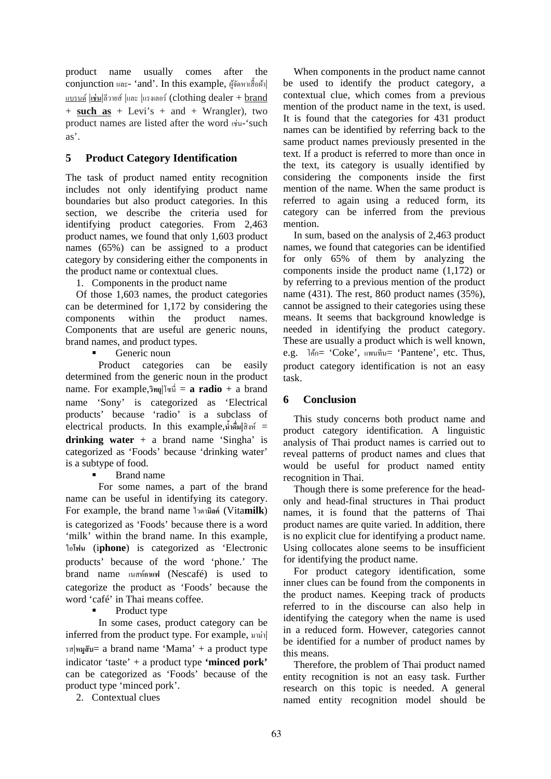product name usually comes after the  $\operatorname{conjunction}$  และ- 'and'. In this example, ผู้จัดหาเสื้อผ้า $\mid$ แบรนด |์ **เช่น**|ลีวายส์ |และ |แรงเลอร์ (clothing dealer + brand + **such as** + Levi's + and + Wrangler), two product names are listed after the word เช่น-'such as'.

#### **5 Product Category Identification**

The task of product named entity recognition includes not only identifying product name boundaries but also product categories. In this section, we describe the criteria used for identifying product categories. From 2,463 product names, we found that only 1,603 product names (65%) can be assigned to a product category by considering either the components in the product name or contextual clues.

1. Components in the product name

Of those 1,603 names, the product categories can be determined for 1,172 by considering the components within the product names. Components that are useful are generic nouns, brand names, and product types.

Generic noun

Product categories can be easily determined from the generic noun in the product name. For example,**วทยิ ุ** |โซนี่ = **a radio** + a brand name 'Sony' is categorized as 'Electrical products' because 'radio' is a subclass of electrical products. In this example,**นําด้ มื่ |**สิงห์ = **drinking water** + a brand name 'Singha' is categorized as 'Foods' because 'drinking water' is a subtype of food.

Brand name

For some names, a part of the brand name can be useful in identifying its category. For example, the brand name ไวตา**มิลค์** (Vita**milk**) is categorized as 'Foods' because there is a word 'milk' within the brand name. In this example, ไอ**โฟน** (i**phone**) is categorized as 'Electronic products' because of the word 'phone.' The brand name เนสท**กาแฟ** ์ (Nescafé) is used to categorize the product as 'Foods' because the word 'café' in Thai means coffee.

Product type

In some cases, product category can be inferred from the product type. For example, มาม่า| รส|**หมูสับ**= a brand name 'Mama' + a product type indicator 'taste' + a product type **'minced pork'** can be categorized as 'Foods' because of the product type 'minced pork'.

2. Contextual clues

When components in the product name cannot be used to identify the product category, a contextual clue, which comes from a previous mention of the product name in the text, is used. It is found that the categories for 431 product names can be identified by referring back to the same product names previously presented in the text. If a product is referred to more than once in the text, its category is usually identified by considering the components inside the first mention of the name. When the same product is referred to again using a reduced form, its category can be inferred from the previous mention.

In sum, based on the analysis of 2,463 product names, we found that categories can be identified for only 65% of them by analyzing the components inside the product name (1,172) or by referring to a previous mention of the product name (431). The rest, 860 product names (35%), cannot be assigned to their categories using these means. It seems that background knowledge is needed in identifying the product category. These are usually a product which is well known, e.g. โคก้= 'Coke', แพนทีน= 'Pantene', etc. Thus, product category identification is not an easy task.

### **6 Conclusion**

This study concerns both product name and product category identification. A linguistic analysis of Thai product names is carried out to reveal patterns of product names and clues that would be useful for product named entity recognition in Thai.

Though there is some preference for the headonly and head-final structures in Thai product names, it is found that the patterns of Thai product names are quite varied. In addition, there is no explicit clue for identifying a product name. Using collocates alone seems to be insufficient for identifying the product name.

For product category identification, some inner clues can be found from the components in the product names. Keeping track of products referred to in the discourse can also help in identifying the category when the name is used in a reduced form. However, categories cannot be identified for a number of product names by this means.

Therefore, the problem of Thai product named entity recognition is not an easy task. Further research on this topic is needed. A general named entity recognition model should be